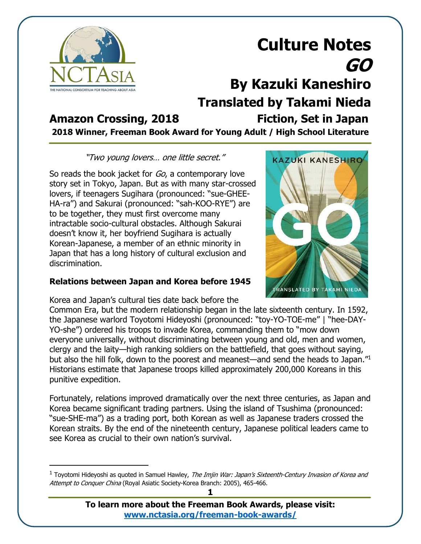

### **Amazon Crossing, 2018 Fiction, Set in Japan**

**2018 Winner, Freeman Book Award for Young Adult / High School Literature**

#### "Two young lovers… one little secret."

So reads the book jacket for Go, a contemporary love story set in Tokyo, Japan. But as with many star-crossed lovers, if teenagers Sugihara (pronounced: "sue-GHEE-HA-ra") and Sakurai (pronounced: "sah-KOO-RYE") are to be together, they must first overcome many intractable socio-cultural obstacles. Although Sakurai doesn't know it, her boyfriend Sugihara is actually Korean-Japanese, a member of an ethnic minority in Japan that has a long history of cultural exclusion and discrimination.

### **Relations between Japan and Korea before 1945**

Korea and Japan's cultural ties date back before the



Common Era, but the modern relationship began in the late sixteenth century. In 1592, the Japanese warlord Toyotomi Hideyoshi (pronounced: "toy-YO-TOE-me" | "hee-DAY-YO-she") ordered his troops to invade Korea, commanding them to "mow down everyone universally, without discriminating between young and old, men and women, clergy and the laity—high ranking soldiers on the battlefield, that goes without saying, but also the hill folk, down to the poorest and meanest—and send the heads to Japan."1 Historians estimate that Japanese troops killed approximately 200,000 Koreans in this punitive expedition.

Fortunately, relations improved dramatically over the next three centuries, as Japan and Korea became significant trading partners. Using the island of Tsushima (pronounced: "sue-SHE-ma") as a trading port, both Korean as well as Japanese traders crossed the Korean straits. By the end of the nineteenth century, Japanese political leaders came to see Korea as crucial to their own nation's survival.



<sup>&</sup>lt;sup>1</sup> Toyotomi Hideyoshi as quoted in Samuel Hawley, *The Imjin War: Japan's Sixteenth-Century Invasion of Korea and* Attempt to Conquer China (Royal Asiatic Society-Korea Branch: 2005), 465-466.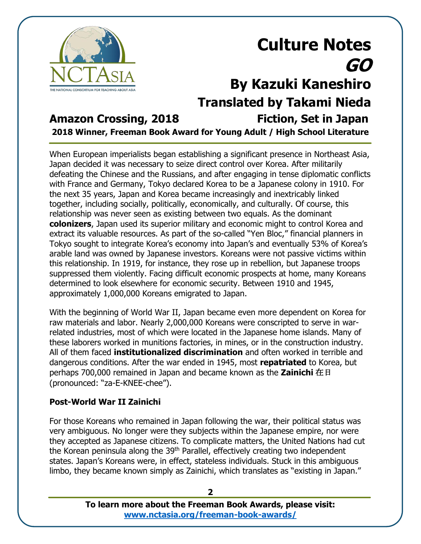

### **Amazon Crossing, 2018 Fiction, Set in Japan**

**2018 Winner, Freeman Book Award for Young Adult / High School Literature**

When European imperialists began establishing a significant presence in Northeast Asia, Japan decided it was necessary to seize direct control over Korea. After militarily defeating the Chinese and the Russians, and after engaging in tense diplomatic conflicts with France and Germany, Tokyo declared Korea to be a Japanese colony in 1910. For the next 35 years, Japan and Korea became increasingly and inextricably linked together, including socially, politically, economically, and culturally. Of course, this relationship was never seen as existing between two equals. As the dominant **colonizers**, Japan used its superior military and economic might to control Korea and extract its valuable resources. As part of the so-called "Yen Bloc," financial planners in Tokyo sought to integrate Korea's economy into Japan's and eventually 53% of Korea's arable land was owned by Japanese investors. Koreans were not passive victims within this relationship. In 1919, for instance, they rose up in rebellion, but Japanese troops suppressed them violently. Facing difficult economic prospects at home, many Koreans determined to look elsewhere for economic security. Between 1910 and 1945, approximately 1,000,000 Koreans emigrated to Japan.

With the beginning of World War II, Japan became even more dependent on Korea for raw materials and labor. Nearly 2,000,000 Koreans were conscripted to serve in warrelated industries, most of which were located in the Japanese home islands. Many of these laborers worked in munitions factories, in mines, or in the construction industry. All of them faced **institutionalized discrimination** and often worked in terrible and dangerous conditions. After the war ended in 1945, most **repatriated** to Korea, but perhaps 700,000 remained in Japan and became known as the **Zainichi** 在日 (pronounced: "za-E-KNEE-chee").

#### **Post-World War II Zainichi**

For those Koreans who remained in Japan following the war, their political status was very ambiguous. No longer were they subjects within the Japanese empire, nor were they accepted as Japanese citizens. To complicate matters, the United Nations had cut the Korean peninsula along the 39<sup>th</sup> Parallel, effectively creating two independent states. Japan's Koreans were, in effect, stateless individuals. Stuck in this ambiguous limbo, they became known simply as Zainichi, which translates as "existing in Japan."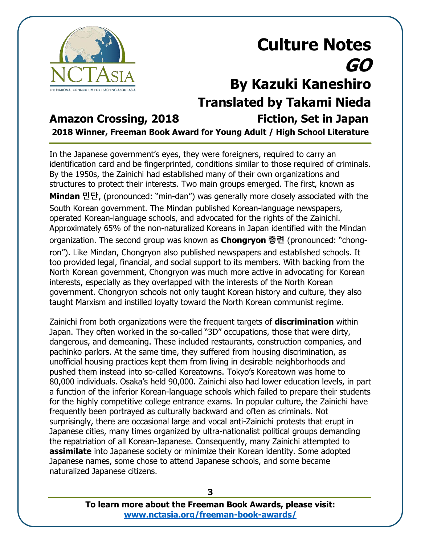

### **Amazon Crossing, 2018 Fiction, Set in Japan**

**2018 Winner, Freeman Book Award for Young Adult / High School Literature**

In the Japanese government's eyes, they were foreigners, required to carry an identification card and be fingerprinted, conditions similar to those required of criminals. By the 1950s, the Zainichi had established many of their own organizations and structures to protect their interests. Two main groups emerged. The first, known as **Mindan 민단**, (pronounced: "min-dan") was generally more closely associated with the South Korean government. The Mindan published Korean-language newspapers, operated Korean-language schools, and advocated for the rights of the Zainichi. Approximately 65% of the non-naturalized Koreans in Japan identified with the Mindan organization. The second group was known as **Chongryon 총련** (pronounced: "chongron"). Like Mindan, Chongryon also published newspapers and established schools. It too provided legal, financial, and social support to its members. With backing from the North Korean government, Chongryon was much more active in advocating for Korean interests, especially as they overlapped with the interests of the North Korean government. Chongryon schools not only taught Korean history and culture, they also taught Marxism and instilled loyalty toward the North Korean communist regime.

Zainichi from both organizations were the frequent targets of **discrimination** within Japan. They often worked in the so-called "3D" occupations, those that were dirty, dangerous, and demeaning. These included restaurants, construction companies, and pachinko parlors. At the same time, they suffered from housing discrimination, as unofficial housing practices kept them from living in desirable neighborhoods and pushed them instead into so-called Koreatowns. Tokyo's Koreatown was home to 80,000 individuals. Osaka's held 90,000. Zainichi also had lower education levels, in part a function of the inferior Korean-language schools which failed to prepare their students for the highly competitive college entrance exams. In popular culture, the Zainichi have frequently been portrayed as culturally backward and often as criminals. Not surprisingly, there are occasional large and vocal anti-Zainichi protests that erupt in Japanese cities, many times organized by ultra-nationalist political groups demanding the repatriation of all Korean-Japanese. Consequently, many Zainichi attempted to **assimilate** into Japanese society or minimize their Korean identity. Some adopted Japanese names, some chose to attend Japanese schools, and some became naturalized Japanese citizens.

> **To learn more about the Freeman Book Awards, please visit: [www.nctasia.org/freeman-book-awards/](https://nctasia.org/freeman-book-awards/)**